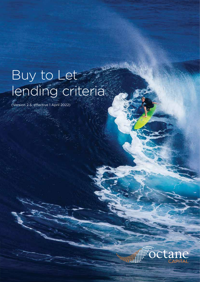## Buy to Let lending criteria

(Version 2.5, effective 1 April 2022)



Octane Capital • Buy to Let Lending Criteria Page 2 of 4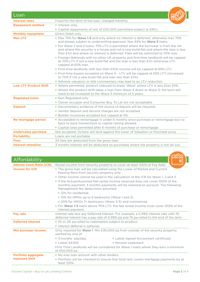| Loan                         |                                                                                                                                                                                                                                                                                                                                                |
|------------------------------|------------------------------------------------------------------------------------------------------------------------------------------------------------------------------------------------------------------------------------------------------------------------------------------------------------------------------------------------|
| Interest rates               | Fixed for the term of the loan, charged monthly.                                                                                                                                                                                                                                                                                               |
| <b>Repayment method</b>      | • Interest only.                                                                                                                                                                                                                                                                                                                               |
|                              | • Capital repayments of min of £50,000 permitted subject to ERCs.                                                                                                                                                                                                                                                                              |
| <b>Monthly repayment</b>     | Direct Debit only.                                                                                                                                                                                                                                                                                                                             |
| <b>Max LTV</b>               | • Max 75% for Wave 1-3 and only where no interest is deferred, otherwise max 70%<br>and always subject to underwriting approval. Max 65% for <b>Wave 5</b> loans.<br>. For Wave 2 and 3 loans, 75% LTV is permitted where the borrower is from the UK<br>and where the security is a house and not a new build flat and where the loan is less |
|                              | than £1m and where no interest is deferred. Flats will be restricted to 70% max.<br>• Foreign Nationals with no other UK property and first-time landlords will be capped<br>at 70% LTV if not a new build flat and the loan is less than $f1m$ otherwise LTV<br>capped at 65% max.                                                            |
|                              | . First-time landlords with less than £50k income will be capped at 65% LTV.                                                                                                                                                                                                                                                                   |
|                              | • First-time buyers accepted on Wave 3 - LTV will be capped at 65% LTV (increased<br>to 70% if not a new build flat and loan less than £1m).                                                                                                                                                                                                   |
|                              | • Adverse valuation or title commentary may lead to an LTV reduction.                                                                                                                                                                                                                                                                          |
| <b>Low LTV Product Shift</b> | . Where permitted, product reduced to lower 'Wave' where LTV is less than 50%.                                                                                                                                                                                                                                                                 |
|                              | . Where the product shift takes a loan from Wave 4 down to Wave 3, the term will<br>need to be increased to the Wave 3 minimum of 5 years.                                                                                                                                                                                                     |
| <b>Regulated loans</b>       | • Non Regulated only.                                                                                                                                                                                                                                                                                                                          |
|                              | • Owner occupier and Consumer Buy To Let are not acceptable.                                                                                                                                                                                                                                                                                   |
| <b>Deposit</b>               | • Documentary evidence of the source of deposit will be required.                                                                                                                                                                                                                                                                              |
|                              | • Vendor deposit and second charges are not accepted.                                                                                                                                                                                                                                                                                          |
|                              | · Builder incentives accepted but capped at 5%.                                                                                                                                                                                                                                                                                                |
| <b>Re-mortgage period</b>    | • Acceptable to remortgage in under 6 months since purchase or remortgage but no<br>back to back transactions or capital raising allowed.                                                                                                                                                                                                      |
|                              | • Capital raise permitted after 6 months of purchase or remortgage.                                                                                                                                                                                                                                                                            |
| <b>Undervalue purchase</b>   | Not accepted. Octane will lend against the lower of Valuation or Purchase price.                                                                                                                                                                                                                                                               |
| <b>Portability</b>           | Loans are not portable.                                                                                                                                                                                                                                                                                                                        |
| <b>Fees</b>                  | All fees are deducted from the gross loan.                                                                                                                                                                                                                                                                                                     |
| Interest retention           | 3 months interest will be deducted on purchases where the property is not let out.                                                                                                                                                                                                                                                             |

| Affordability                                |                                                                                                                                                                                                      |
|----------------------------------------------|------------------------------------------------------------------------------------------------------------------------------------------------------------------------------------------------------|
| <b>Interest Cover Ratio (ICR)</b>            | Rental income from security property to cover at least 100% of Pay Rate.                                                                                                                             |
| <b>Income for ICR</b>                        | • The gross loan will be calculated using the Lower of Market and Current<br>Passing Rent from security property only.                                                                               |
|                                              | • Other income cannot be used in the calculation of the ICR for Wave 1. 2 and 3.                                                                                                                     |
|                                              | • If the Actual/Assumed Net rental income received does not cover 100% of the<br>monthly payment, 3 months payments will be retained on account. The following<br>Management fee deductions assumed: |
|                                              | • 12% for residential.                                                                                                                                                                               |
|                                              | • 15% for HMOs up to 6 bedrooms (Wave 1 and 2).                                                                                                                                                      |
|                                              | • 20% for HMOs 7+ bedrooms (Wave 3-5) and commercial.                                                                                                                                                |
|                                              | • For Wave 1-3 loans above 70% LTV, the Net rental income must cover 100% of the<br>interest payment.                                                                                                |
| Pay rate                                     | Interest rate less any Deferred Interest. For example, a 5.99% interest rate with 1%<br>deferred interest has a pay rate of 4.99% pa and 1% pa rolled to the end of the term.                        |
| <b>Deferred interest</b>                     | • 1% or 2% pa rolled to redemption subject to product.                                                                                                                                               |
|                                              | • Interest deferral is optional.                                                                                                                                                                     |
| Min borrower income                          | Only required for <b>Wave 1.</b> Min £30,000 pa from outside of the security property<br>verified by one of:                                                                                         |
|                                              | • 3 months' payslips.<br>• Latest signed Accountant certificate.                                                                                                                                     |
|                                              | • Latest SA302.<br>• Pension statement.                                                                                                                                                              |
|                                              | First Time Landlords will be considered for Wave 1 loans where they earn a minimum<br>of £50,000 pa.                                                                                                 |
| <b>Portfolio aggregate</b><br>exposure limit | • No max loan amount with other lenders.                                                                                                                                                             |
|                                              | • Portfolio will be checked to ensure that total rent covers mortgage payments by at<br>least 125%.                                                                                                  |

**CONTRACT**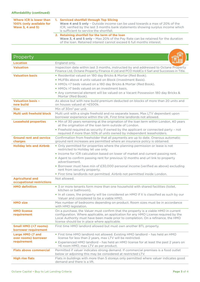**Where ICR is lower than 100% (only available for Wave 3, 4 and 5)**

## **1. Serviced shortfall through Top Slicing**

Wave 4 and 5 only – Outside income can be used towards a max of 20% of the ICR, verified by the last 3 months bank statements showing surplus income which is sufficient to service the shortfall.

## **2. Retaining shortfall for the term of the loan**

Wave 3, 4 and 5 only – Max 20% of the Pay Rate can be retained for the duration of the loan. Retained interest cannot exceed 6 full months interest.

| Property                                                |                                                                                                                                                                                                                                                                                                                                                                                                                                                                                                                |
|---------------------------------------------------------|----------------------------------------------------------------------------------------------------------------------------------------------------------------------------------------------------------------------------------------------------------------------------------------------------------------------------------------------------------------------------------------------------------------------------------------------------------------------------------------------------------------|
| <b>Location</b>                                         | England only.                                                                                                                                                                                                                                                                                                                                                                                                                                                                                                  |
| <b>Valuation</b>                                        | Inspection date within last 3 months, instructed by and addressed to Octane Property<br>Finance Ltd, Octane Property Finance 4 Ltd and PCO HoldCo II Sarl and Successes in Title.                                                                                                                                                                                                                                                                                                                              |
| <b>Valuation basis</b>                                  | • Residential valued on 180 day Bricks & Mortar (Red Book).<br>• MUFBs above 4 units valued on Block (Investment Basis).<br>• HMOs <7 beds valued on a 180 day Bricks & Mortar (Red Book).<br>• HMOs >7 beds valued on an investment basis.<br>• Any commercial element will be valued on a Vacant Possession 180 day Bricks &<br>Mortar (Red Book).                                                                                                                                                           |
| <b>Valuation basis -</b><br>new build                   | As above but with new build premium deducted on blocks of more than 20 units and<br>on houses valued at >£500k.                                                                                                                                                                                                                                                                                                                                                                                                |
| <b>Size</b>                                             | Min of 30m <sup>2</sup> per unit.                                                                                                                                                                                                                                                                                                                                                                                                                                                                              |
| Multi unit freehold block                               | Multi unit with a single freehold and no separate leases. Max LTV dependant upon<br>borrower experience within the UK. First time landlords not allowed.                                                                                                                                                                                                                                                                                                                                                       |
| <b>Leasehold properties</b>                             | . Min of 30 years remaining at the origination of the loan term within London, 40 years<br>at the origination of the loan term outside of London.<br>• Freehold required as security if owned by the applicant or connected party - not<br>required if more than 50% of units owned by independent leaseholders.                                                                                                                                                                                               |
| <b>Ground rent and service</b><br>charges               | Confirmation from freeholder that all payments are up to date. Onerous automatic<br>ground rent increases are permitted where an insurance policy is obtained.                                                                                                                                                                                                                                                                                                                                                 |
| <b>Holiday lets and Airbnb</b>                          | . Only permitted for properties where the planning permission or lease is not<br>restricted to Holiday let use only.<br>. Income for ICR calculation based on lower of market and current passing rent.<br>• Agent to confirm passing rent for previous 12 months and url link to property<br>advertisement.<br>· Borrower must have min of £30,000 personal income (verified as above) excluding<br>rent from security property.<br>• First time landlords not permitted. Airbnb not permitted inside London. |
| <b>Agricultural and</b><br>occupational restrictions    | Not allowed.                                                                                                                                                                                                                                                                                                                                                                                                                                                                                                   |
| <b>HMO definition</b>                                   | • 3 or more tenants form more than one household with shared facilities (toilet,<br>kitchen or bathroom).<br>. In all cases, the property will be considered an HMO if it is classified as such by our<br>Valuer and considered to be a viable HMO.                                                                                                                                                                                                                                                            |
| <b>HMO size</b>                                         | Max number of bedrooms depending on product. Room sizes must be in accordance<br>with HMO legislation.                                                                                                                                                                                                                                                                                                                                                                                                         |
| <b>HMO license</b><br>requirement                       | On a purchase, the Valuer must confirm that the property is a viable HMO in current<br>configuration. Where applicable, an application for any HMO License required by the<br>Local Authority must have been made prior to completion. On a refinance, the HMO<br>license should be in place where applicable.                                                                                                                                                                                                 |
| <b>Small HMO (&lt;7 rooms)</b><br>borrower requirement  | First time HMO landlord allowed but must own another BTL property.                                                                                                                                                                                                                                                                                                                                                                                                                                             |
| Large HMO (7 and<br>over rooms) borrower<br>requirement | . First time HMO landlord not allowed. Existing HMO landlord - has held an HMO<br>license for less than 2 years, max LTV will be restricted.<br>• Experienced HMO landlord - has held an HMO license for at least the past 2 years on<br>>6 room HMO, max LTV as per product.                                                                                                                                                                                                                                  |
| <b>Flats above commercial</b>                           | Permitted if valuer indicates strong demand. If commercial premises is a food outlet<br>below or adjoining this may be considered at restricted LTV.                                                                                                                                                                                                                                                                                                                                                           |
| <b>High rise flats</b>                                  | Flats in buildings with more than 5 storeys only permitted where valuer indicates good<br>demand and there is a lift.                                                                                                                                                                                                                                                                                                                                                                                          |